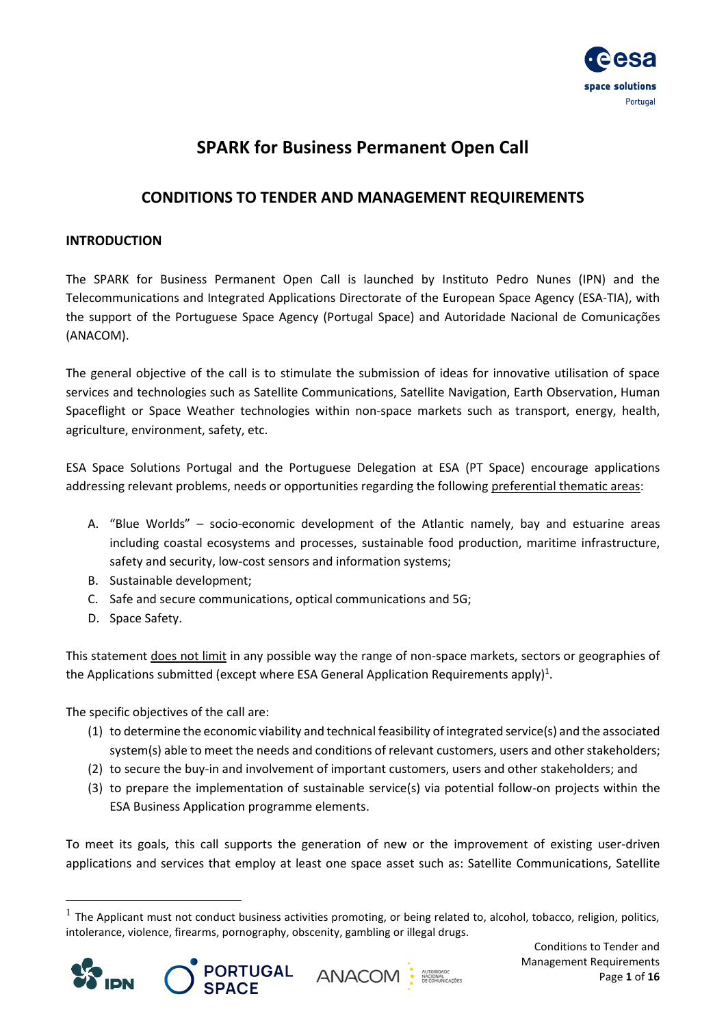

# **SPARK for Business Permanent Open Call**

## **CONDITIONS TO TENDER AND MANAGEMENT REQUIREMENTS**

## <span id="page-0-0"></span>**INTRODUCTION**

The SPARK for Business Permanent Open Call is launched by Instituto Pedro Nunes (IPN) and the Telecommunications and Integrated Applications Directorate of the European Space Agency (ESA-TIA), with the support of the Portuguese Space Agency (Portugal Space) and Autoridade Nacional de Comunicações (ANACOM).

The general objective of the call is to stimulate the submission of ideas for innovative utilisation of space services and technologies such as Satellite Communications, Satellite Navigation, Earth Observation, Human Spaceflight or Space Weather technologies within non-space markets such as transport, energy, health, agriculture, environment, safety, etc.

ESA Space Solutions Portugal and the Portuguese Delegation at ESA (PT Space) encourage applications addressing relevant problems, needs or opportunities regarding the following preferential thematic areas:

- A. "Blue Worlds" socio-economic development of the Atlantic namely, bay and estuarine areas including coastal ecosystems and processes, sustainable food production, maritime infrastructure, safety and security, low-cost sensors and information systems;
- B. Sustainable development;
- C. Safe and secure communications, optical communications and 5G;
- D. Space Safety.

This statement does not limit in any possible way the range of non-space markets, sectors or geographies of the Applications submitted (except where ESA General Application Requirements apply)<sup>1</sup>.

The specific objectives of the call are:

- (1) to determine the economic viability and technical feasibility of integrated service(s) and the associated system(s) able to meet the needs and conditions of relevant customers, users and other stakeholders;
- (2) to secure the buy-in and involvement of important customers, users and other stakeholders; and
- (3) to prepare the implementation of sustainable service(s) via potential follow-on projects within the ESA Business Application programme elements.

To meet its goals, this call supports the generation of new or the improvement of existing user-driven applications and services that employ at least one space asset such as: Satellite Communications, Satellite

 $<sup>1</sup>$  The Applicant must not conduct business activities promoting, or being related to, alcohol, tobacco, religion, politics,</sup> intolerance, violence, firearms, pornography, obscenity, gambling or illegal drugs.







Conditions to Tender and Management Requirements Page **1** of **16**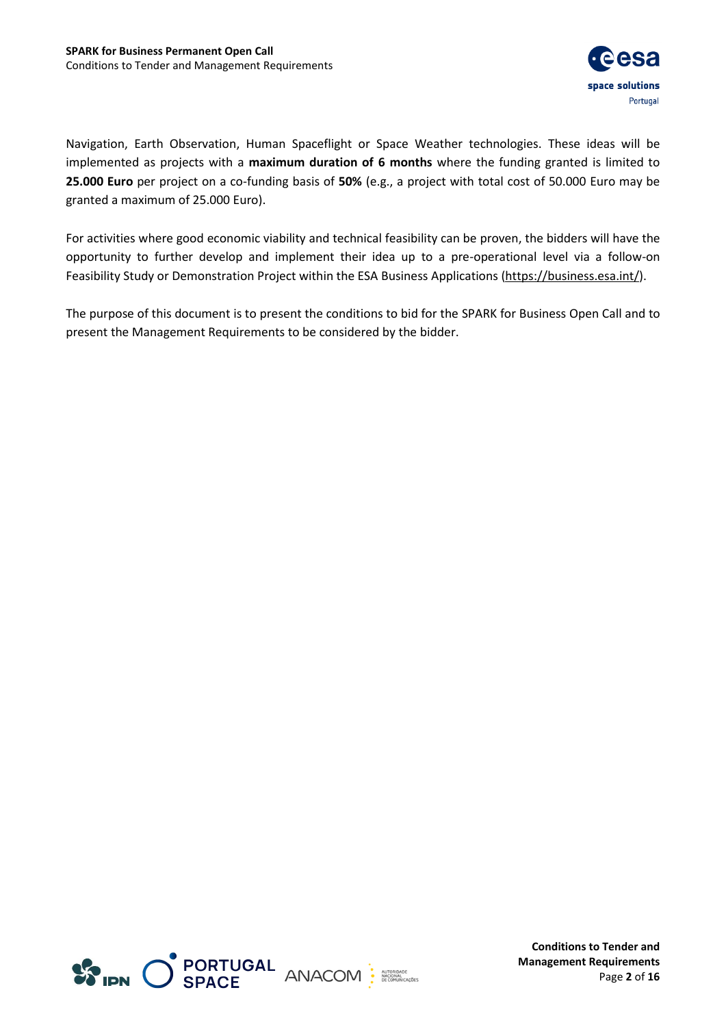

Navigation, Earth Observation, Human Spaceflight or Space Weather technologies. These ideas will be implemented as projects with a **maximum duration of 6 months** where the funding granted is limited to **25.000 Euro** per project on a co-funding basis of **50%** (e.g., a project with total cost of 50.000 Euro may be granted a maximum of 25.000 Euro).

For activities where good economic viability and technical feasibility can be proven, the bidders will have the opportunity to further develop and implement their idea up to a pre-operational level via a follow-on Feasibility Study or Demonstration Project within the ESA Business Applications [\(https://business.esa.int/\)](https://business.esa.int/).

The purpose of this document is to present the conditions to bid for the SPARK for Business Open Call and to present the Management Requirements to be considered by the bidder.



**Conditions to Tender and Management Requirements** Page **2** of **16**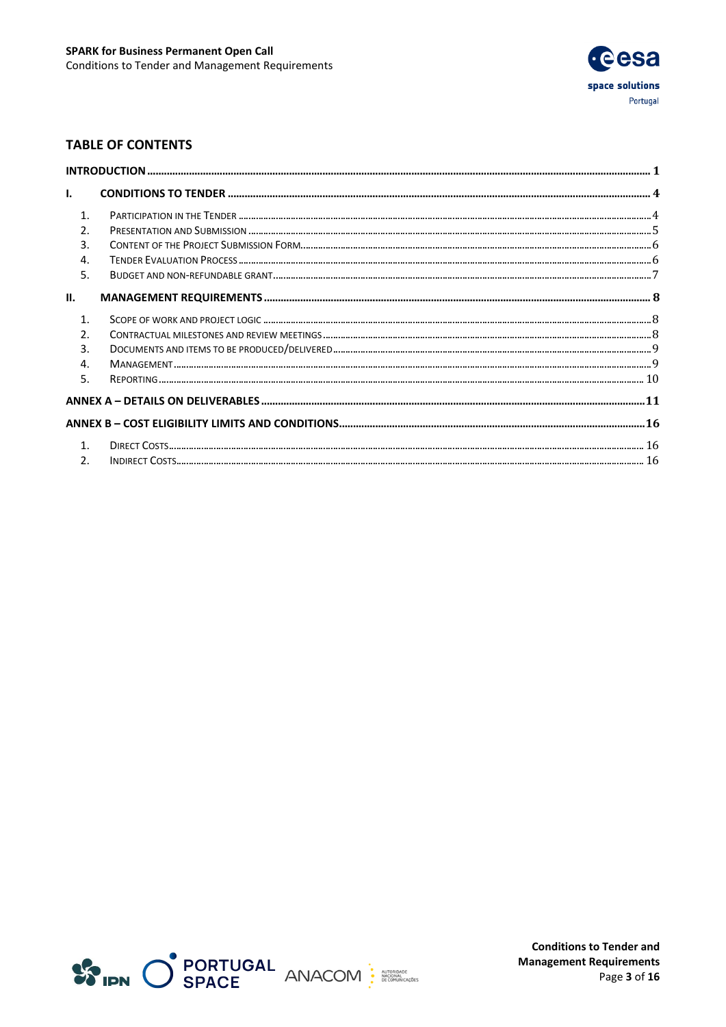

## **TABLE OF CONTENTS**

| L.               |  |
|------------------|--|
| $\mathbf{1}$     |  |
| 2.               |  |
| 3.               |  |
| $\overline{4}$ . |  |
| 5.               |  |
| П.               |  |
| $\mathbf{1}$     |  |
| $\mathcal{P}$    |  |
| 3.               |  |
| 4.               |  |
| 5.               |  |
|                  |  |
|                  |  |
|                  |  |
| $\mathfrak{D}$ . |  |

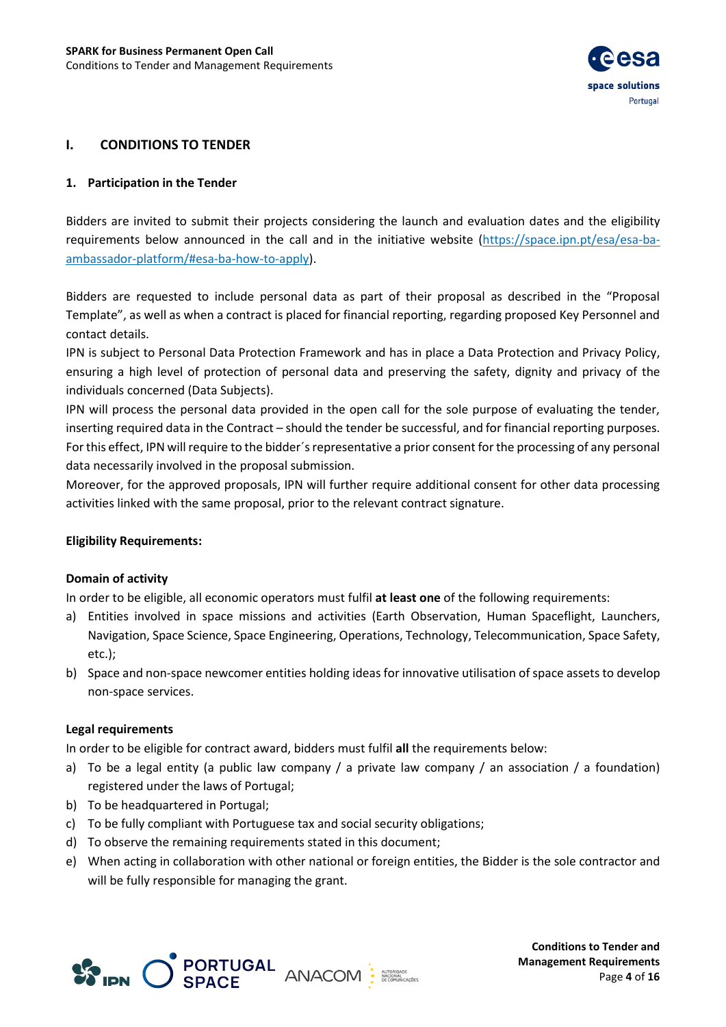

## <span id="page-3-0"></span>**I. CONDITIONS TO TENDER**

#### <span id="page-3-1"></span>**1. Participation in the Tender**

Bidders are invited to submit their projects considering the launch and evaluation dates and the eligibility requirements below announced in the call and in the initiative website (https://space.ipn.pt/esa/esa-baambassador-platform/#esa-ba-how-to-apply).

Bidders are requested to include personal data as part of their proposal as described in the "Proposal Template", as well as when a contract is placed for financial reporting, regarding proposed Key Personnel and contact details.

IPN is subject to Personal Data Protection Framework and has in place a Data Protection and Privacy Policy, ensuring a high level of protection of personal data and preserving the safety, dignity and privacy of the individuals concerned (Data Subjects).

IPN will process the personal data provided in the open call for the sole purpose of evaluating the tender, inserting required data in the Contract – should the tender be successful, and for financial reporting purposes. For this effect, IPN will require to the bidder´s representative a prior consent for the processing of any personal data necessarily involved in the proposal submission.

Moreover, for the approved proposals, IPN will further require additional consent for other data processing activities linked with the same proposal, prior to the relevant contract signature.

#### **Eligibility Requirements:**

#### **Domain of activity**

In order to be eligible, all economic operators must fulfil **at least one** of the following requirements:

- a) Entities involved in space missions and activities (Earth Observation, Human Spaceflight, Launchers, Navigation, Space Science, Space Engineering, Operations, Technology, Telecommunication, Space Safety, etc.);
- b) Space and non-space newcomer entities holding ideas for innovative utilisation of space assets to develop non-space services.

#### **Legal requirements**

In order to be eligible for contract award, bidders must fulfil **all** the requirements below:

- a) To be a legal entity (a public law company / a private law company / an association / a foundation) registered under the laws of Portugal;
- b) To be headquartered in Portugal;
- c) To be fully compliant with Portuguese tax and social security obligations;
- d) To observe the remaining requirements stated in this document;
- e) When acting in collaboration with other national or foreign entities, the Bidder is the sole contractor and will be fully responsible for managing the grant.



**Conditions to Tender and Management Requirements** Page **4** of **16**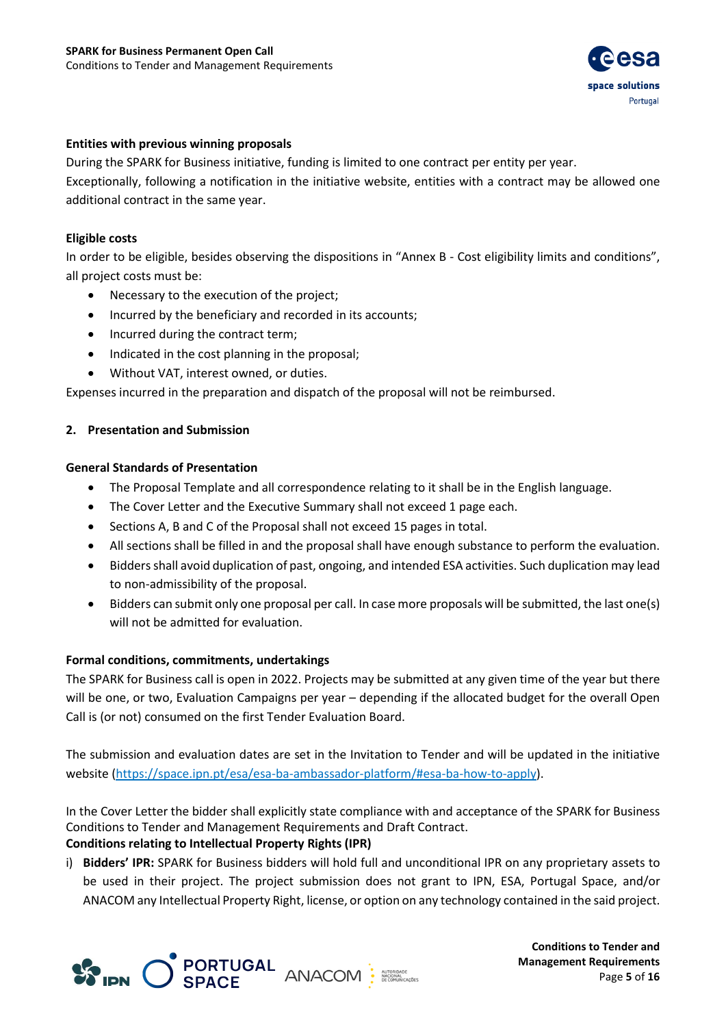

#### **Entities with previous winning proposals**

During the SPARK for Business initiative, funding is limited to one contract per entity per year. Exceptionally, following a notification in the initiative website, entities with a contract may be allowed one additional contract in the same year.

#### **Eligible costs**

In order to be eligible, besides observing the dispositions in "Annex B - Cost eligibility limits and conditions", all project costs must be:

- Necessary to the execution of the project;
- Incurred by the beneficiary and recorded in its accounts;
- Incurred during the contract term;
- Indicated in the cost planning in the proposal;
- Without VAT, interest owned, or duties.

Expenses incurred in the preparation and dispatch of the proposal will not be reimbursed.

## <span id="page-4-0"></span>**2. Presentation and Submission**

#### **General Standards of Presentation**

- The Proposal Template and all correspondence relating to it shall be in the English language.
- The Cover Letter and the Executive Summary shall not exceed 1 page each.
- Sections A, B and C of the Proposal shall not exceed 15 pages in total.
- All sections shall be filled in and the proposal shall have enough substance to perform the evaluation.
- Bidders shall avoid duplication of past, ongoing, and intended ESA activities. Such duplication may lead to non-admissibility of the proposal.
- Bidders can submit only one proposal per call. In case more proposals will be submitted, the last one(s) will not be admitted for evaluation.

## **Formal conditions, commitments, undertakings**

The SPARK for Business call is open in 2022. Projects may be submitted at any given time of the year but there will be one, or two, Evaluation Campaigns per year – depending if the allocated budget for the overall Open Call is (or not) consumed on the first Tender Evaluation Board.

The submission and evaluation dates are set in the Invitation to Tender and will be updated in the initiative website (https://space.ipn.pt/esa/esa-ba-ambassador-platform/#esa-ba-how-to-apply).

In the Cover Letter the bidder shall explicitly state compliance with and acceptance of the SPARK for Business Conditions to Tender and Management Requirements and Draft Contract.

## **Conditions relating to Intellectual Property Rights (IPR)**

i) **Bidders' IPR:** SPARK for Business bidders will hold full and unconditional IPR on any proprietary assets to be used in their project. The project submission does not grant to IPN, ESA, Portugal Space, and/or ANACOM any Intellectual Property Right, license, or option on any technology contained in the said project.



**Conditions to Tender and Management Requirements** Page **5** of **16**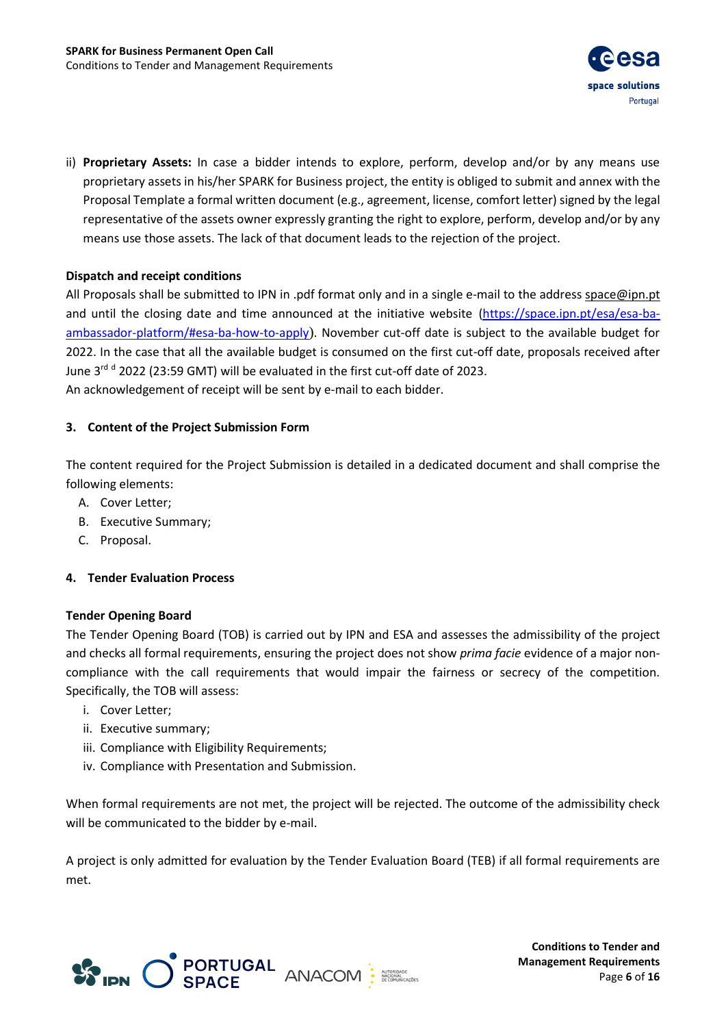

ii) **Proprietary Assets:** In case a bidder intends to explore, perform, develop and/or by any means use proprietary assets in his/her SPARK for Business project, the entity is obliged to submit and annex with the Proposal Template a formal written document (e.g., agreement, license, comfort letter) signed by the legal representative of the assets owner expressly granting the right to explore, perform, develop and/or by any means use those assets. The lack of that document leads to the rejection of the project.

## **Dispatch and receipt conditions**

All Proposals shall be submitted to IPN in .pdf format only and in a single e-mail to the addres[s space@ipn.pt](mailto:space@ipn.pt) and until the closing date and time announced at the initiative website [\(https://space.ipn.pt/esa/esa-ba](https://space.ipn.pt/esa/esa-ba-ambassador-platform/#esa-ba-how-to-apply)[ambassador-platform/#esa-ba-how-to-apply](https://space.ipn.pt/esa/esa-ba-ambassador-platform/#esa-ba-how-to-apply)). November cut-off date is subject to the available budget for 2022. In the case that all the available budget is consumed on the first cut-off date, proposals received after June 3<sup>rd d</sup> 2022 (23:59 GMT) will be evaluated in the first cut-off date of 2023. An acknowledgement of receipt will be sent by e-mail to each bidder.

## <span id="page-5-0"></span>**3. Content of the Project Submission Form**

The content required for the Project Submission is detailed in a dedicated document and shall comprise the following elements:

- A. Cover Letter;
- B. Executive Summary;
- C. Proposal.

## <span id="page-5-1"></span>**4. Tender Evaluation Process**

## **Tender Opening Board**

The Tender Opening Board (TOB) is carried out by IPN and ESA and assesses the admissibility of the project and checks all formal requirements, ensuring the project does not show *prima facie* evidence of a major noncompliance with the call requirements that would impair the fairness or secrecy of the competition. Specifically, the TOB will assess:

- i. Cover Letter;
- ii. Executive summary;
- iii. Compliance with Eligibility Requirements;
- iv. Compliance with Presentation and Submission.

When formal requirements are not met, the project will be rejected. The outcome of the admissibility check will be communicated to the bidder by e-mail.

A project is only admitted for evaluation by the Tender Evaluation Board (TEB) if all formal requirements are met.



**Conditions to Tender and Management Requirements** Page **6** of **16**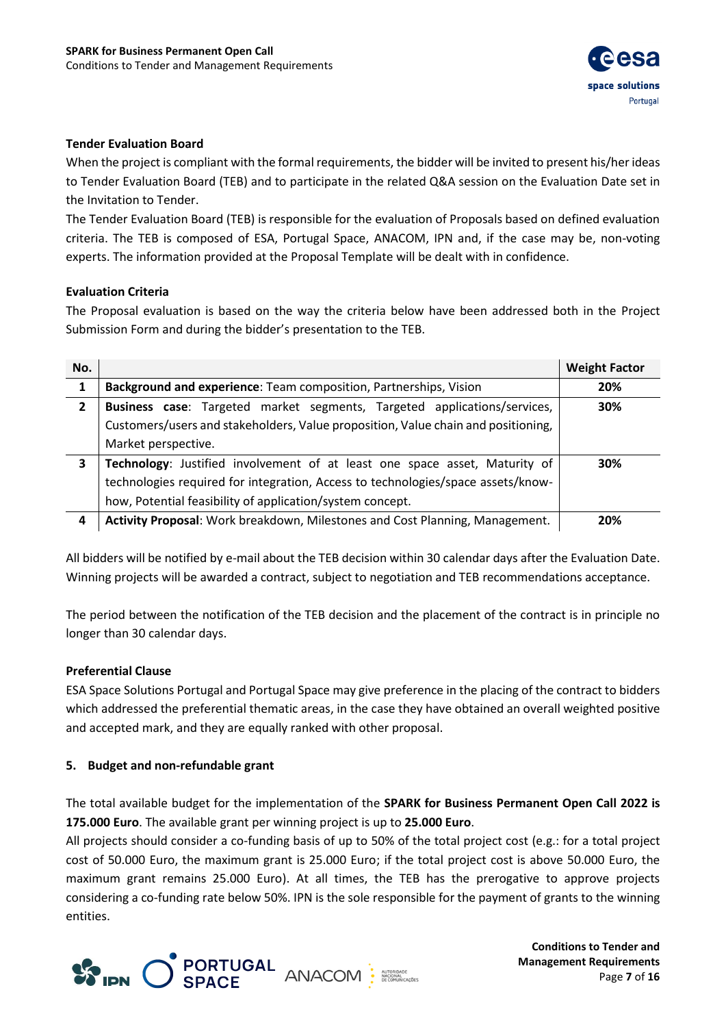

#### **Tender Evaluation Board**

When the project is compliant with the formal requirements, the bidder will be invited to present his/her ideas to Tender Evaluation Board (TEB) and to participate in the related Q&A session on the Evaluation Date set in the Invitation to Tender.

The Tender Evaluation Board (TEB) is responsible for the evaluation of Proposals based on defined evaluation criteria. The TEB is composed of ESA, Portugal Space, ANACOM, IPN and, if the case may be, non-voting experts. The information provided at the Proposal Template will be dealt with in confidence.

#### **Evaluation Criteria**

The Proposal evaluation is based on the way the criteria below have been addressed both in the Project Submission Form and during the bidder's presentation to the TEB.

| No. |                                                                                   | <b>Weight Factor</b> |
|-----|-----------------------------------------------------------------------------------|----------------------|
|     | Background and experience: Team composition, Partnerships, Vision                 | 20%                  |
| 2   | Business case: Targeted market segments, Targeted applications/services,          | 30%                  |
|     | Customers/users and stakeholders, Value proposition, Value chain and positioning, |                      |
|     | Market perspective.                                                               |                      |
| 3   | Technology: Justified involvement of at least one space asset, Maturity of        | 30%                  |
|     | technologies required for integration, Access to technologies/space assets/know-  |                      |
|     | how, Potential feasibility of application/system concept.                         |                      |
| 4   | Activity Proposal: Work breakdown, Milestones and Cost Planning, Management.      | 20%                  |

All bidders will be notified by e-mail about the TEB decision within 30 calendar days after the Evaluation Date. Winning projects will be awarded a contract, subject to negotiation and TEB recommendations acceptance.

The period between the notification of the TEB decision and the placement of the contract is in principle no longer than 30 calendar days.

#### **Preferential Clause**

ESA Space Solutions Portugal and Portugal Space may give preference in the placing of the contract to bidders which addressed the preferential thematic areas, in the case they have obtained an overall weighted positive and accepted mark, and they are equally ranked with other proposal.

#### <span id="page-6-0"></span>**5. Budget and non-refundable grant**

The total available budget for the implementation of the **SPARK for Business Permanent Open Call 2022 is 175.000 Euro**. The available grant per winning project is up to **25.000 Euro**.

All projects should consider a co-funding basis of up to 50% of the total project cost (e.g.: for a total project cost of 50.000 Euro, the maximum grant is 25.000 Euro; if the total project cost is above 50.000 Euro, the maximum grant remains 25.000 Euro). At all times, the TEB has the prerogative to approve projects considering a co-funding rate below 50%. IPN is the sole responsible for the payment of grants to the winning entities.



**Conditions to Tender and Management Requirements** Page **7** of **16**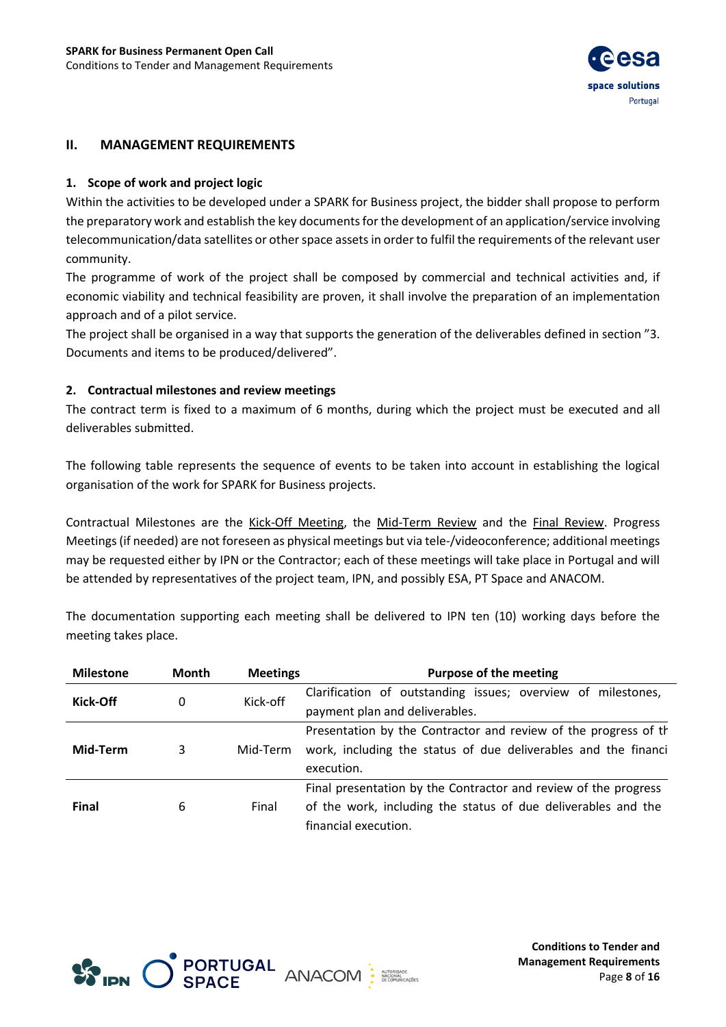

## <span id="page-7-0"></span>**II. MANAGEMENT REQUIREMENTS**

#### <span id="page-7-1"></span>**1. Scope of work and project logic**

Within the activities to be developed under a SPARK for Business project, the bidder shall propose to perform the preparatory work and establish the key documents for the development of an application/service involving telecommunication/data satellites or other space assets in order to fulfil the requirements of the relevant user community.

The programme of work of the project shall be composed by commercial and technical activities and, if economic viability and technical feasibility are proven, it shall involve the preparation of an implementation approach and of a pilot service.

The project shall be organised in a way that supports the generation of the deliverables defined in section "3. Documents and items to be produced/delivered".

#### <span id="page-7-2"></span>**2. Contractual milestones and review meetings**

The contract term is fixed to a maximum of 6 months, during which the project must be executed and all deliverables submitted.

The following table represents the sequence of events to be taken into account in establishing the logical organisation of the work for SPARK for Business projects.

Contractual Milestones are the Kick-Off Meeting, the Mid-Term Review and the Final Review. Progress Meetings (if needed) are not foreseen as physical meetings but via tele-/videoconference; additional meetings may be requested either by IPN or the Contractor; each of these meetings will take place in Portugal and will be attended by representatives of the project team, IPN, and possibly ESA, PT Space and ANACOM.

The documentation supporting each meeting shall be delivered to IPN ten (10) working days before the meeting takes place.

| <b>Milestone</b> | Month | <b>Meetings</b> | <b>Purpose of the meeting</b>                                    |  |
|------------------|-------|-----------------|------------------------------------------------------------------|--|
| Kick-Off         | 0     | Kick-off        | Clarification of outstanding issues; overview of milestones,     |  |
|                  |       |                 | payment plan and deliverables.                                   |  |
|                  |       |                 | Presentation by the Contractor and review of the progress of the |  |
| Mid-Term         | 3     | Mid-Term        | work, including the status of due deliverables and the financi   |  |
|                  |       |                 | execution.                                                       |  |
|                  |       |                 | Final presentation by the Contractor and review of the progress  |  |
| Final            | 6     | Final           | of the work, including the status of due deliverables and the    |  |
|                  |       |                 | financial execution.                                             |  |



**Conditions to Tender and Management Requirements** Page **8** of **16**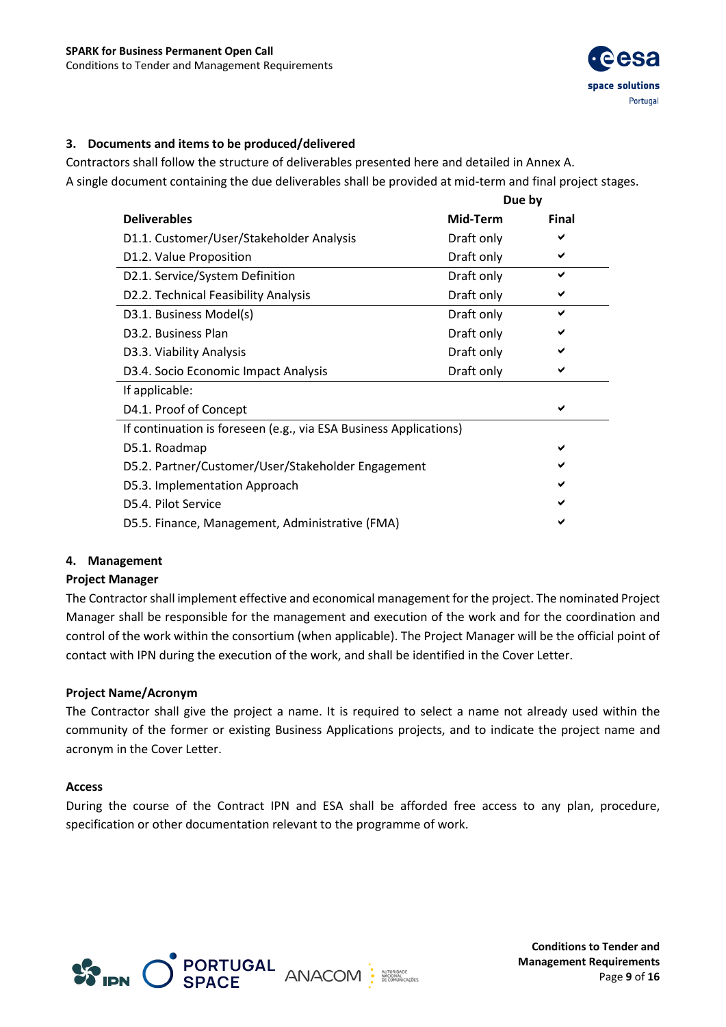

## <span id="page-8-0"></span>**3. Documents and items to be produced/delivered**

Contractors shall follow the structure of deliverables presented here and detailed in Annex A. A single document containing the due deliverables shall be provided at mid-term and final project stages.

|                                                                   | Due by     |              |  |  |
|-------------------------------------------------------------------|------------|--------------|--|--|
| <b>Deliverables</b>                                               | Mid-Term   | <b>Final</b> |  |  |
| D1.1. Customer/User/Stakeholder Analysis                          | Draft only |              |  |  |
| D1.2. Value Proposition                                           | Draft only | ✔            |  |  |
| D2.1. Service/System Definition                                   | Draft only | ✔            |  |  |
| D2.2. Technical Feasibility Analysis                              | Draft only |              |  |  |
| D3.1. Business Model(s)                                           | Draft only | ✔            |  |  |
| D <sub>3</sub> .2. Business Plan                                  | Draft only | ✔            |  |  |
| D3.3. Viability Analysis                                          | Draft only | ✔            |  |  |
| D3.4. Socio Economic Impact Analysis                              | Draft only | ✔            |  |  |
| If applicable:                                                    |            |              |  |  |
| D4.1. Proof of Concept                                            |            |              |  |  |
| If continuation is foreseen (e.g., via ESA Business Applications) |            |              |  |  |
| D5.1. Roadmap                                                     |            |              |  |  |
| D5.2. Partner/Customer/User/Stakeholder Engagement                |            |              |  |  |
| D5.3. Implementation Approach                                     |            |              |  |  |
| D5.4. Pilot Service                                               |            |              |  |  |
| D5.5. Finance, Management, Administrative (FMA)                   |            |              |  |  |

#### <span id="page-8-1"></span>**4. Management**

## **Project Manager**

The Contractor shall implement effective and economical management for the project. The nominated Project Manager shall be responsible for the management and execution of the work and for the coordination and control of the work within the consortium (when applicable). The Project Manager will be the official point of contact with IPN during the execution of the work, and shall be identified in the Cover Letter.

#### **Project Name/Acronym**

The Contractor shall give the project a name. It is required to select a name not already used within the community of the former or existing Business Applications projects, and to indicate the project name and acronym in the Cover Letter.

#### **Access**

<span id="page-8-2"></span>During the course of the Contract IPN and ESA shall be afforded free access to any plan, procedure, specification or other documentation relevant to the programme of work.



**Conditions to Tender and Management Requirements** Page **9** of **16**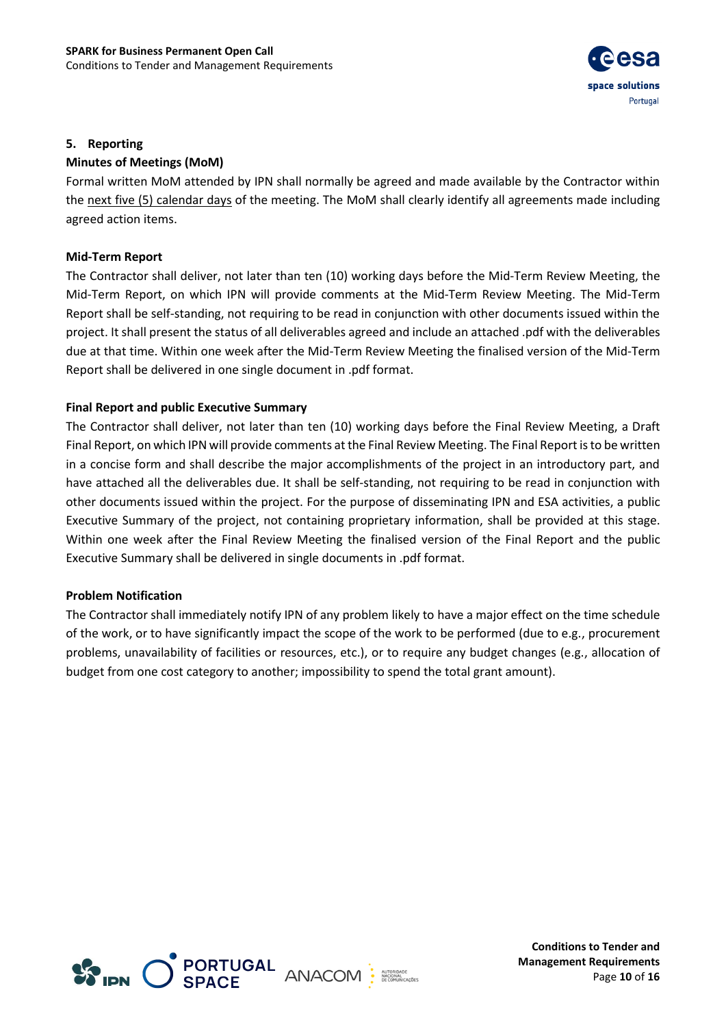

#### **5. Reporting**

#### **Minutes of Meetings (MoM)**

Formal written MoM attended by IPN shall normally be agreed and made available by the Contractor within the next five (5) calendar days of the meeting. The MoM shall clearly identify all agreements made including agreed action items.

#### **Mid-Term Report**

The Contractor shall deliver, not later than ten (10) working days before the Mid-Term Review Meeting, the Mid-Term Report, on which IPN will provide comments at the Mid-Term Review Meeting. The Mid-Term Report shall be self-standing, not requiring to be read in conjunction with other documents issued within the project. It shall present the status of all deliverables agreed and include an attached .pdf with the deliverables due at that time. Within one week after the Mid-Term Review Meeting the finalised version of the Mid-Term Report shall be delivered in one single document in .pdf format.

#### **Final Report and public Executive Summary**

The Contractor shall deliver, not later than ten (10) working days before the Final Review Meeting, a Draft Final Report, on which IPN will provide comments at the Final Review Meeting. The Final Report is to be written in a concise form and shall describe the major accomplishments of the project in an introductory part, and have attached all the deliverables due. It shall be self-standing, not requiring to be read in conjunction with other documents issued within the project. For the purpose of disseminating IPN and ESA activities, a public Executive Summary of the project, not containing proprietary information, shall be provided at this stage. Within one week after the Final Review Meeting the finalised version of the Final Report and the public Executive Summary shall be delivered in single documents in .pdf format.

#### **Problem Notification**

The Contractor shall immediately notify IPN of any problem likely to have a major effect on the time schedule of the work, or to have significantly impact the scope of the work to be performed (due to e.g., procurement problems, unavailability of facilities or resources, etc.), or to require any budget changes (e.g., allocation of budget from one cost category to another; impossibility to spend the total grant amount).



**Conditions to Tender and Management Requirements** Page **10** of **16**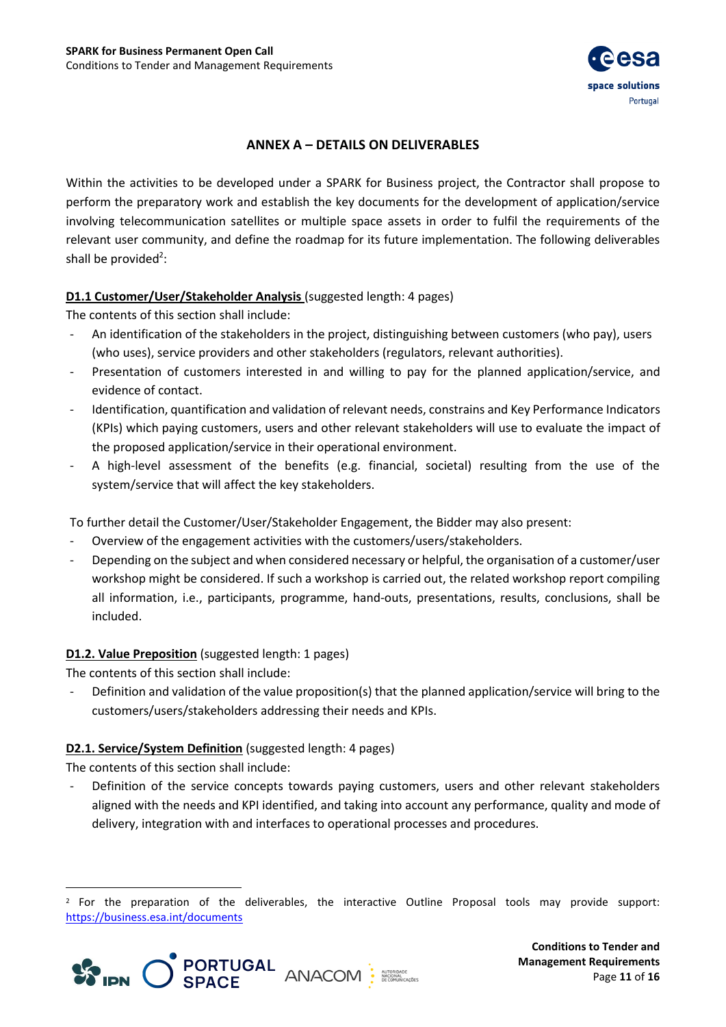

## **ANNEX A – DETAILS ON DELIVERABLES**

<span id="page-10-0"></span>Within the activities to be developed under a SPARK for Business project, the Contractor shall propose to perform the preparatory work and establish the key documents for the development of application/service involving telecommunication satellites or multiple space assets in order to fulfil the requirements of the relevant user community, and define the roadmap for its future implementation. The following deliverables shall be provided<sup>2</sup>:

## **D1.1 Customer/User/Stakeholder Analysis** (suggested length: 4 pages)

The contents of this section shall include:

- An identification of the stakeholders in the project, distinguishing between customers (who pay), users (who uses), service providers and other stakeholders (regulators, relevant authorities).
- Presentation of customers interested in and willing to pay for the planned application/service, and evidence of contact.
- Identification, quantification and validation of relevant needs, constrains and Key Performance Indicators (KPIs) which paying customers, users and other relevant stakeholders will use to evaluate the impact of the proposed application/service in their operational environment.
- A high-level assessment of the benefits (e.g. financial, societal) resulting from the use of the system/service that will affect the key stakeholders.

To further detail the Customer/User/Stakeholder Engagement, the Bidder may also present:

- Overview of the engagement activities with the customers/users/stakeholders.
- Depending on the subject and when considered necessary or helpful, the organisation of a customer/user workshop might be considered. If such a workshop is carried out, the related workshop report compiling all information, i.e., participants, programme, hand-outs, presentations, results, conclusions, shall be included.

## **D1.2. Value Preposition** (suggested length: 1 pages)

The contents of this section shall include:

Definition and validation of the value proposition(s) that the planned application/service will bring to the customers/users/stakeholders addressing their needs and KPIs.

## **D2.1. Service/System Definition** (suggested length: 4 pages)

The contents of this section shall include:

Definition of the service concepts towards paying customers, users and other relevant stakeholders aligned with the needs and KPI identified, and taking into account any performance, quality and mode of delivery, integration with and interfaces to operational processes and procedures.

<sup>2</sup> For the preparation of the deliverables, the interactive Outline Proposal tools may provide support: <https://business.esa.int/documents>



**Conditions to Tender and Management Requirements** Page **11** of **16**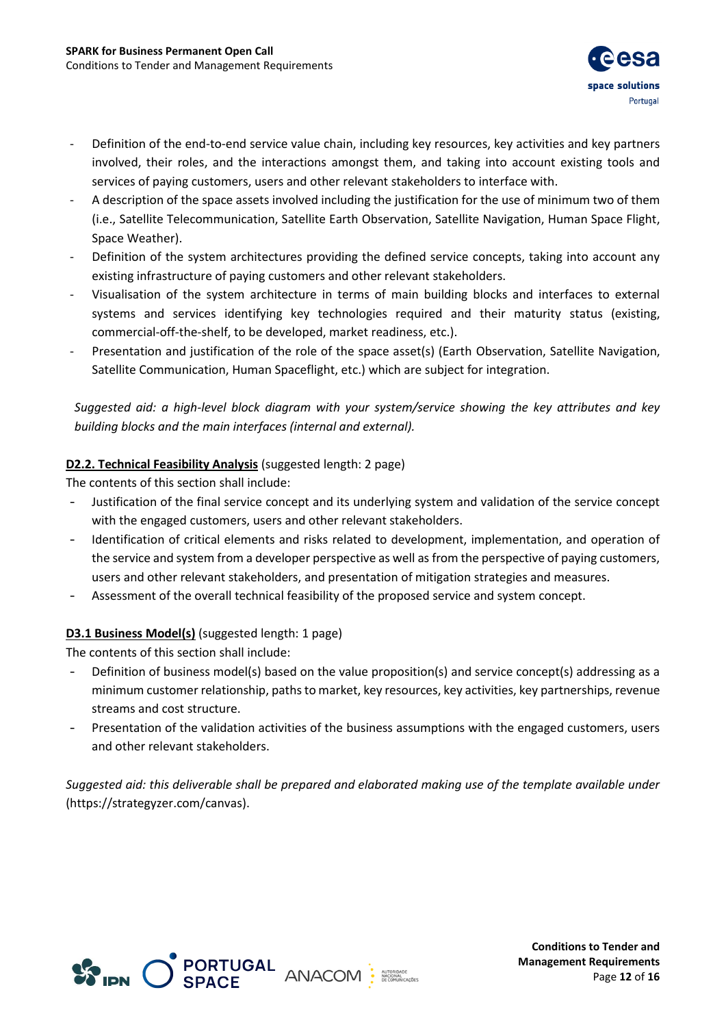

- Definition of the end-to-end service value chain, including key resources, key activities and key partners involved, their roles, and the interactions amongst them, and taking into account existing tools and services of paying customers, users and other relevant stakeholders to interface with.
- A description of the space assets involved including the justification for the use of minimum two of them (i.e., Satellite Telecommunication, Satellite Earth Observation, Satellite Navigation, Human Space Flight, Space Weather).
- Definition of the system architectures providing the defined service concepts, taking into account any existing infrastructure of paying customers and other relevant stakeholders.
- Visualisation of the system architecture in terms of main building blocks and interfaces to external systems and services identifying key technologies required and their maturity status (existing, commercial-off-the-shelf, to be developed, market readiness, etc.).
- Presentation and justification of the role of the space asset(s) (Earth Observation, Satellite Navigation, Satellite Communication, Human Spaceflight, etc.) which are subject for integration.

*Suggested aid: a high-level block diagram with your system/service showing the key attributes and key building blocks and the main interfaces (internal and external).*

## **D2.2. Technical Feasibility Analysis** (suggested length: 2 page)

The contents of this section shall include:

- Justification of the final service concept and its underlying system and validation of the service concept with the engaged customers, users and other relevant stakeholders.
- Identification of critical elements and risks related to development, implementation, and operation of the service and system from a developer perspective as well as from the perspective of paying customers, users and other relevant stakeholders, and presentation of mitigation strategies and measures.
- Assessment of the overall technical feasibility of the proposed service and system concept.

## **D3.1 Business Model(s)** (suggested length: 1 page)

The contents of this section shall include:

- Definition of business model(s) based on the value proposition(s) and service concept(s) addressing as a minimum customer relationship, paths to market, key resources, key activities, key partnerships, revenue streams and cost structure.
- Presentation of the validation activities of the business assumptions with the engaged customers, users and other relevant stakeholders.

*Suggested aid: this deliverable shall be prepared and elaborated making use of the template available under*  [\(https://strategyzer.com/canvas\)](https://strategyzer.com/canvas).



**Conditions to Tender and Management Requirements** Page **12** of **16**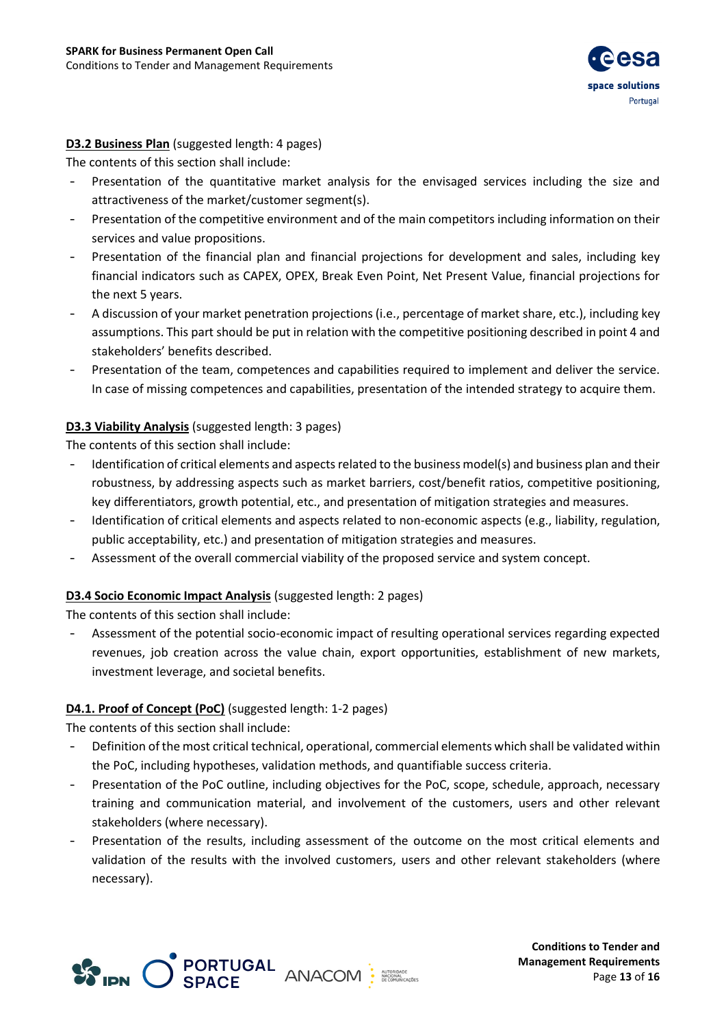

## **D3.2 Business Plan** (suggested length: 4 pages)

The contents of this section shall include:

- Presentation of the quantitative market analysis for the envisaged services including the size and attractiveness of the market/customer segment(s).
- Presentation of the competitive environment and of the main competitors including information on their services and value propositions.
- Presentation of the financial plan and financial projections for development and sales, including key financial indicators such as CAPEX, OPEX, Break Even Point, Net Present Value, financial projections for the next 5 years.
- A discussion of your market penetration projections (i.e., percentage of market share, etc.), including key assumptions. This part should be put in relation with the competitive positioning described in point 4 and stakeholders' benefits described.
- Presentation of the team, competences and capabilities required to implement and deliver the service. In case of missing competences and capabilities, presentation of the intended strategy to acquire them.

## **D3.3 Viability Analysis** (suggested length: 3 pages)

The contents of this section shall include:

- Identification of critical elements and aspects related to the business model(s) and business plan and their robustness, by addressing aspects such as market barriers, cost/benefit ratios, competitive positioning, key differentiators, growth potential, etc., and presentation of mitigation strategies and measures.
- Identification of critical elements and aspects related to non-economic aspects (e.g., liability, regulation, public acceptability, etc.) and presentation of mitigation strategies and measures.
- Assessment of the overall commercial viability of the proposed service and system concept.

## **D3.4 Socio Economic Impact Analysis** (suggested length: 2 pages)

The contents of this section shall include:

Assessment of the potential socio-economic impact of resulting operational services regarding expected revenues, job creation across the value chain, export opportunities, establishment of new markets, investment leverage, and societal benefits.

## **D4.1. Proof of Concept (PoC)** (suggested length: 1-2 pages)

The contents of this section shall include:

- Definition of the most critical technical, operational, commercial elements which shall be validated within the PoC, including hypotheses, validation methods, and quantifiable success criteria.
- Presentation of the PoC outline, including objectives for the PoC, scope, schedule, approach, necessary training and communication material, and involvement of the customers, users and other relevant stakeholders (where necessary).
- Presentation of the results, including assessment of the outcome on the most critical elements and validation of the results with the involved customers, users and other relevant stakeholders (where necessary).



**Conditions to Tender and Management Requirements** Page **13** of **16**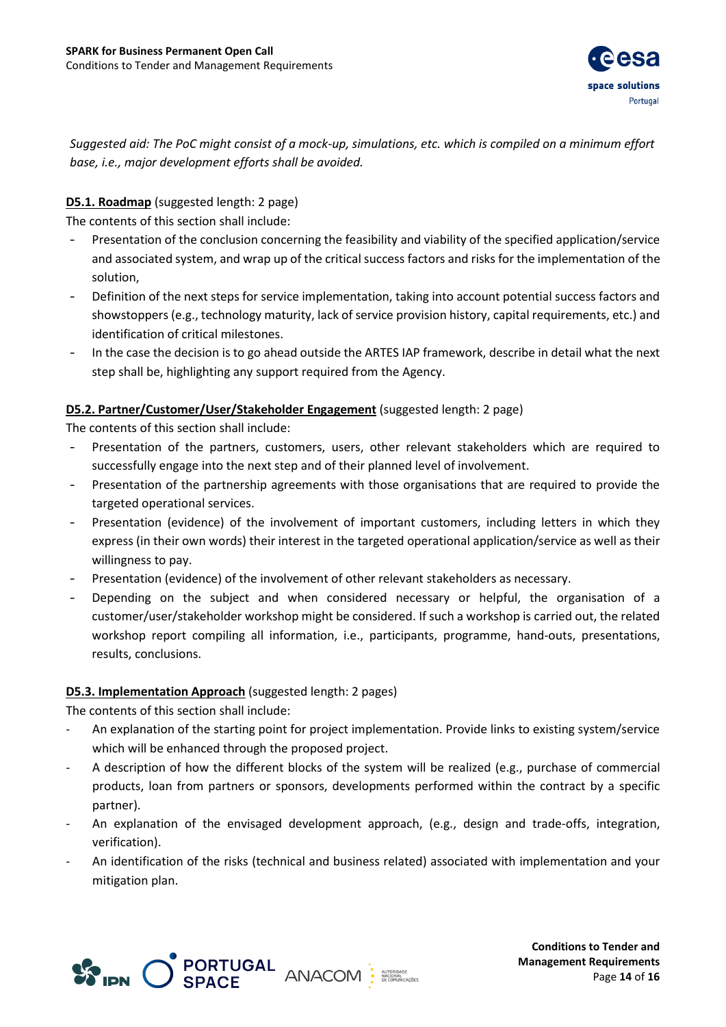

*Suggested aid: The PoC might consist of a mock-up, simulations, etc. which is compiled on a minimum effort base, i.e., major development efforts shall be avoided.*

## **D5.1. Roadmap** (suggested length: 2 page)

The contents of this section shall include:

- Presentation of the conclusion concerning the feasibility and viability of the specified application/service and associated system, and wrap up of the critical success factors and risks for the implementation of the solution,
- Definition of the next steps for service implementation, taking into account potential success factors and showstoppers (e.g., technology maturity, lack of service provision history, capital requirements, etc.) and identification of critical milestones.
- In the case the decision is to go ahead outside the ARTES IAP framework, describe in detail what the next step shall be, highlighting any support required from the Agency.

## **D5.2. Partner/Customer/User/Stakeholder Engagement** (suggested length: 2 page)

The contents of this section shall include:

- Presentation of the partners, customers, users, other relevant stakeholders which are required to successfully engage into the next step and of their planned level of involvement.
- Presentation of the partnership agreements with those organisations that are required to provide the targeted operational services.
- Presentation (evidence) of the involvement of important customers, including letters in which they express (in their own words) their interest in the targeted operational application/service as well as their willingness to pay.
- Presentation (evidence) of the involvement of other relevant stakeholders as necessary.
- Depending on the subject and when considered necessary or helpful, the organisation of a customer/user/stakeholder workshop might be considered. If such a workshop is carried out, the related workshop report compiling all information, i.e., participants, programme, hand-outs, presentations, results, conclusions.

## **D5.3. Implementation Approach** (suggested length: 2 pages)

The contents of this section shall include:

- An explanation of the starting point for project implementation. Provide links to existing system/service which will be enhanced through the proposed project.
- A description of how the different blocks of the system will be realized (e.g., purchase of commercial products, loan from partners or sponsors, developments performed within the contract by a specific partner).
- An explanation of the envisaged development approach, (e.g., design and trade-offs, integration, verification).
- An identification of the risks (technical and business related) associated with implementation and your mitigation plan.



**Conditions to Tender and Management Requirements** Page **14** of **16**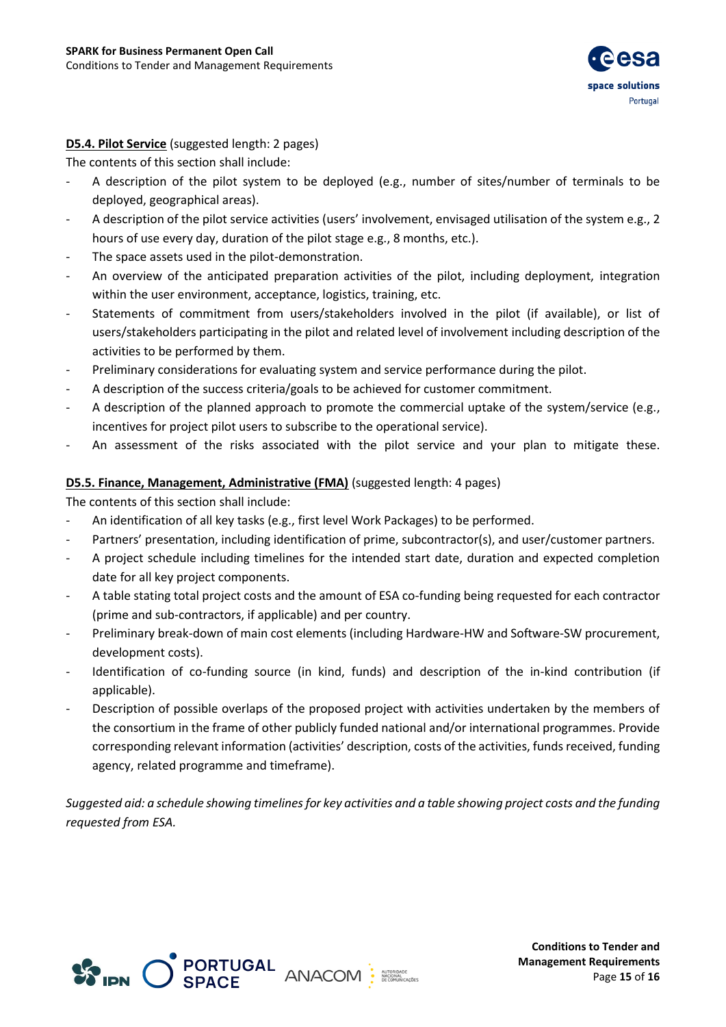

## **D5.4. Pilot Service** (suggested length: 2 pages)

The contents of this section shall include:

- A description of the pilot system to be deployed (e.g., number of sites/number of terminals to be deployed, geographical areas).
- A description of the pilot service activities (users' involvement, envisaged utilisation of the system e.g., 2 hours of use every day, duration of the pilot stage e.g., 8 months, etc.).
- The space assets used in the pilot-demonstration.
- An overview of the anticipated preparation activities of the pilot, including deployment, integration within the user environment, acceptance, logistics, training, etc.
- Statements of commitment from users/stakeholders involved in the pilot (if available), or list of users/stakeholders participating in the pilot and related level of involvement including description of the activities to be performed by them.
- Preliminary considerations for evaluating system and service performance during the pilot.
- A description of the success criteria/goals to be achieved for customer commitment.
- A description of the planned approach to promote the commercial uptake of the system/service (e.g., incentives for project pilot users to subscribe to the operational service).
- An assessment of the risks associated with the pilot service and your plan to mitigate these.

#### **D5.5. Finance, Management, Administrative (FMA)** (suggested length: 4 pages)

The contents of this section shall include:

- An identification of all key tasks (e.g., first level Work Packages) to be performed.
- Partners' presentation, including identification of prime, subcontractor(s), and user/customer partners.
- A project schedule including timelines for the intended start date, duration and expected completion date for all key project components.
- A table stating total project costs and the amount of ESA co-funding being requested for each contractor (prime and sub-contractors, if applicable) and per country.
- Preliminary break-down of main cost elements (including Hardware-HW and Software-SW procurement, development costs).
- Identification of co-funding source (in kind, funds) and description of the in-kind contribution (if applicable).
- Description of possible overlaps of the proposed project with activities undertaken by the members of the consortium in the frame of other publicly funded national and/or international programmes. Provide corresponding relevant information (activities' description, costs of the activities, funds received, funding agency, related programme and timeframe).

*Suggested aid: a schedule showing timelines for key activities and a table showing project costs and the funding requested from ESA.*